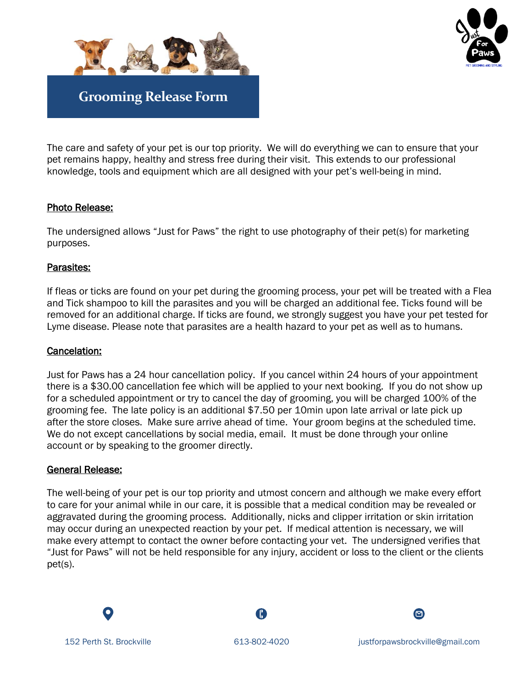



The care and safety of your pet is our top priority. We will do everything we can to ensure that your pet remains happy, healthy and stress free during their visit. This extends to our professional knowledge, tools and equipment which are all designed with your pet's well-being in mind.

# Photo Release:

The undersigned allows "Just for Paws" the right to use photography of their pet(s) for marketing purposes.

# Parasites:

If fleas or ticks are found on your pet during the grooming process, your pet will be treated with a Flea and Tick shampoo to kill the parasites and you will be charged an additional fee. Ticks found will be removed for an additional charge. If ticks are found, we strongly suggest you have your pet tested for Lyme disease. Please note that parasites are a health hazard to your pet as well as to humans.

### Cancelation:

Just for Paws has a 24 hour cancellation policy. If you cancel within 24 hours of your appointment there is a \$30.00 cancellation fee which will be applied to your next booking. If you do not show up for a scheduled appointment or try to cancel the day of grooming, you will be charged 100% of the grooming fee. The late policy is an additional \$7.50 per 10min upon late arrival or late pick up after the store closes. Make sure arrive ahead of time. Your groom begins at the scheduled time. We do not except cancellations by social media, email. It must be done through your online account or by speaking to the groomer directly.

### General Release:

The well-being of your pet is our top priority and utmost concern and although we make every effort to care for your animal while in our care, it is possible that a medical condition may be revealed or aggravated during the grooming process. Additionally, nicks and clipper irritation or skin irritation may occur during an unexpected reaction by your pet. If medical attention is necessary, we will make every attempt to contact the owner before contacting your vet. The undersigned verifies that "Just for Paws" will not be held responsible for any injury, accident or loss to the client or the clients pet(s).

Œ

 $\bullet$